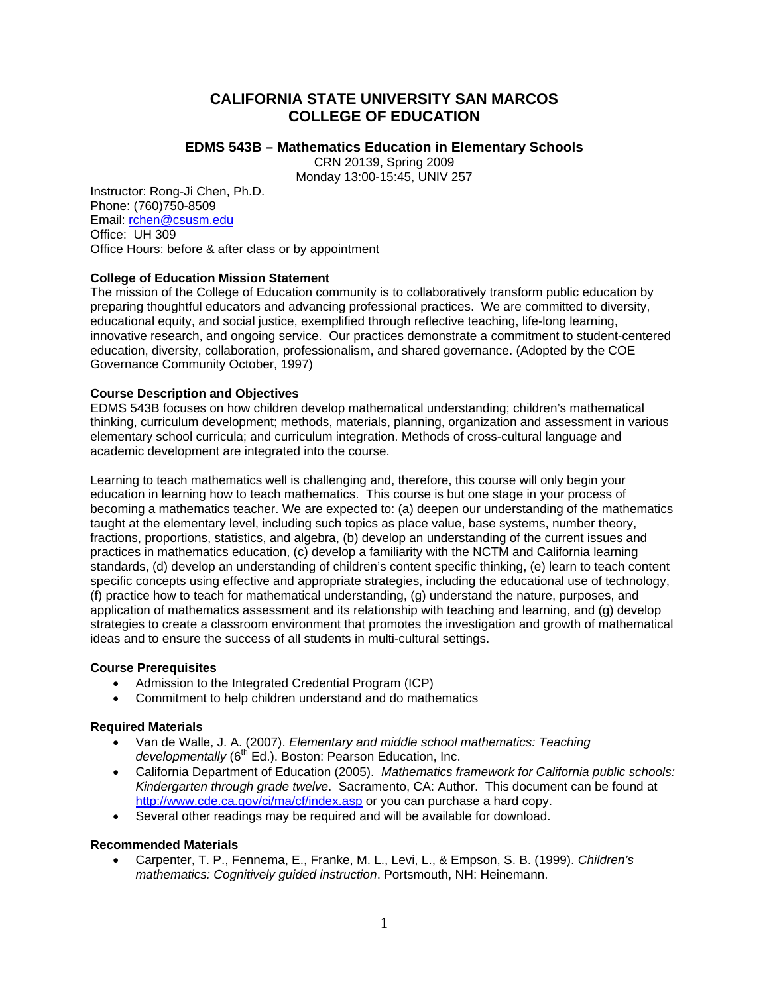# **CALIFORNIA STATE UNIVERSITY SAN MARCOS COLLEGE OF EDUCATION**

### **EDMS 543B – Mathematics Education in Elementary Schools**

CRN 20139, Spring 2009

Monday 13:00-15:45, UNIV 257

Instructor: Rong-Ji Chen, Ph.D. Phone: (760)750-8509 Email: rchen@csusm.edu Office: UH 309 Office Hours: before & after class or by appointment

## **College of Education Mission Statement**

The mission of the College of Education community is to collaboratively transform public education by preparing thoughtful educators and advancing professional practices. We are committed to diversity, educational equity, and social justice, exemplified through reflective teaching, life-long learning, innovative research, and ongoing service. Our practices demonstrate a commitment to student-centered education, diversity, collaboration, professionalism, and shared governance. (Adopted by the COE Governance Community October, 1997)

### **Course Description and Objectives**

EDMS 543B focuses on how children develop mathematical understanding; children's mathematical thinking, curriculum development; methods, materials, planning, organization and assessment in various elementary school curricula; and curriculum integration. Methods of cross-cultural language and academic development are integrated into the course.

Learning to teach mathematics well is challenging and, therefore, this course will only begin your education in learning how to teach mathematics. This course is but one stage in your process of becoming a mathematics teacher. We are expected to: (a) deepen our understanding of the mathematics taught at the elementary level, including such topics as place value, base systems, number theory, fractions, proportions, statistics, and algebra, (b) develop an understanding of the current issues and practices in mathematics education, (c) develop a familiarity with the NCTM and California learning standards, (d) develop an understanding of children's content specific thinking, (e) learn to teach content specific concepts using effective and appropriate strategies, including the educational use of technology, (f) practice how to teach for mathematical understanding, (g) understand the nature, purposes, and application of mathematics assessment and its relationship with teaching and learning, and (g) develop strategies to create a classroom environment that promotes the investigation and growth of mathematical ideas and to ensure the success of all students in multi-cultural settings.

### **Course Prerequisites**

- Admission to the Integrated Credential Program (ICP)
- Commitment to help children understand and do mathematics

### **Required Materials**

- • Van de Walle, J. A. (2007). *Elementary and middle school mathematics: Teaching developmentally* (6<sup>th</sup> Ed.). Boston: Pearson Education, Inc.
- California Department of Education (2005). *Mathematics framework for California public schools: Kindergarten through grade twelve*. Sacramento, CA: Author. This document can be found at http://www.cde.ca.gov/ci/ma/cf/index.asp or you can purchase a hard copy.
- Several other readings may be required and will be available for download.

## **Recommended Materials**

• Carpenter, T. P., Fennema, E., Franke, M. L., Levi, L., & Empson, S. B. (1999). *Children's mathematics: Cognitively guided instruction*. Portsmouth, NH: Heinemann.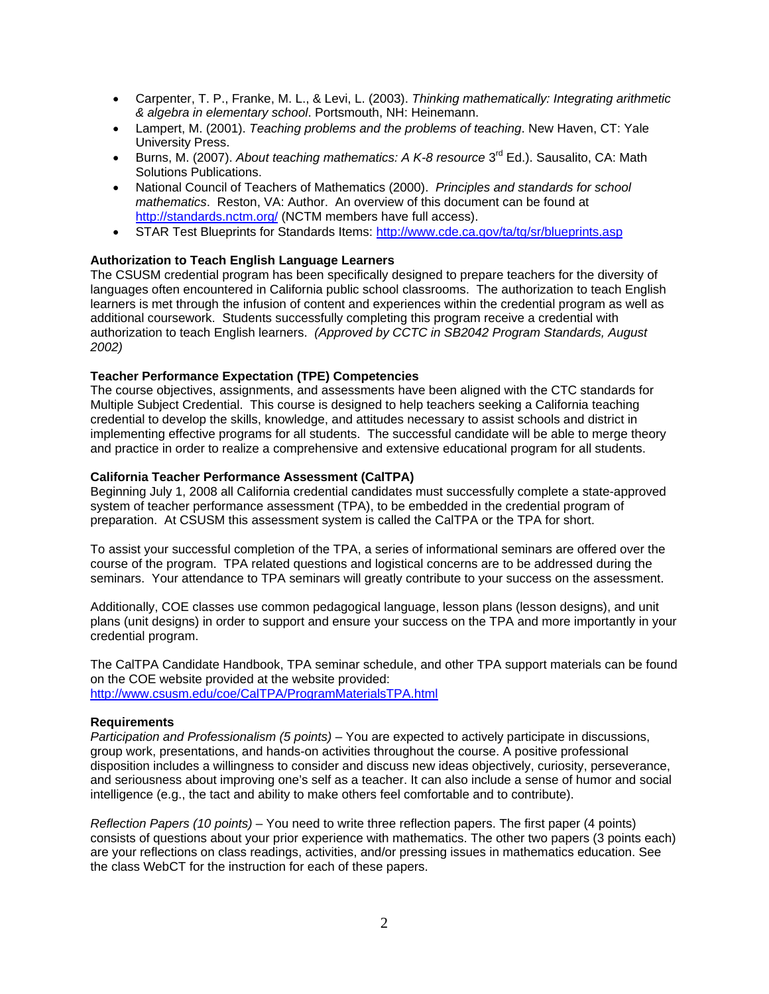- • Carpenter, T. P., Franke, M. L., & Levi, L. (2003). *Thinking mathematically: Integrating arithmetic & algebra in elementary school*. Portsmouth, NH: Heinemann.
- • Lampert, M. (2001). *Teaching problems and the problems of teaching*. New Haven, CT: Yale University Press.
- Burns, M. (2007). *About teaching mathematics: A K-8 resource* 3<sup>rd</sup> Ed.). Sausalito, CA: Math Solutions Publications.
- • National Council of Teachers of Mathematics (2000). *Principles and standards for school mathematics*. Reston, VA: Author. An overview of this document can be found at http://standards.nctm.org/ (NCTM members have full access).
- STAR Test Blueprints for Standards Items: http://www.cde.ca.gov/ta/tg/sr/blueprints.asp

### **Authorization to Teach English Language Learners**

The CSUSM credential program has been specifically designed to prepare teachers for the diversity of languages often encountered in California public school classrooms. The authorization to teach English learners is met through the infusion of content and experiences within the credential program as well as additional coursework. Students successfully completing this program receive a credential with authorization to teach English learners. *(Approved by CCTC in SB2042 Program Standards, August 2002)* 

### **Teacher Performance Expectation (TPE) Competencies**

The course objectives, assignments, and assessments have been aligned with the CTC standards for Multiple Subject Credential. This course is designed to help teachers seeking a California teaching credential to develop the skills, knowledge, and attitudes necessary to assist schools and district in implementing effective programs for all students. The successful candidate will be able to merge theory and practice in order to realize a comprehensive and extensive educational program for all students.

### **California Teacher Performance Assessment (CalTPA)**

Beginning July 1, 2008 all California credential candidates must successfully complete a state-approved system of teacher performance assessment (TPA), to be embedded in the credential program of preparation. At CSUSM this assessment system is called the CalTPA or the TPA for short.

To assist your successful completion of the TPA, a series of informational seminars are offered over the course of the program. TPA related questions and logistical concerns are to be addressed during the seminars. Your attendance to TPA seminars will greatly contribute to your success on the assessment.

Additionally, COE classes use common pedagogical language, lesson plans (lesson designs), and unit plans (unit designs) in order to support and ensure your success on the TPA and more importantly in your credential program.

The CalTPA Candidate Handbook, TPA seminar schedule, and other TPA support materials can be found on the COE website provided at the website provided: http://www.csusm.edu/coe/CalTPA/ProgramMaterialsTPA.html

### **Requirements**

*Participation and Professionalism (5 points)* – You are expected to actively participate in discussions, group work, presentations, and hands-on activities throughout the course. A positive professional disposition includes a willingness to consider and discuss new ideas objectively, curiosity, perseverance, and seriousness about improving one's self as a teacher. It can also include a sense of humor and social intelligence (e.g., the tact and ability to make others feel comfortable and to contribute).

*Reflection Papers (10 points)* – You need to write three reflection papers. The first paper (4 points) consists of questions about your prior experience with mathematics. The other two papers (3 points each) are your reflections on class readings, activities, and/or pressing issues in mathematics education. See the class WebCT for the instruction for each of these papers.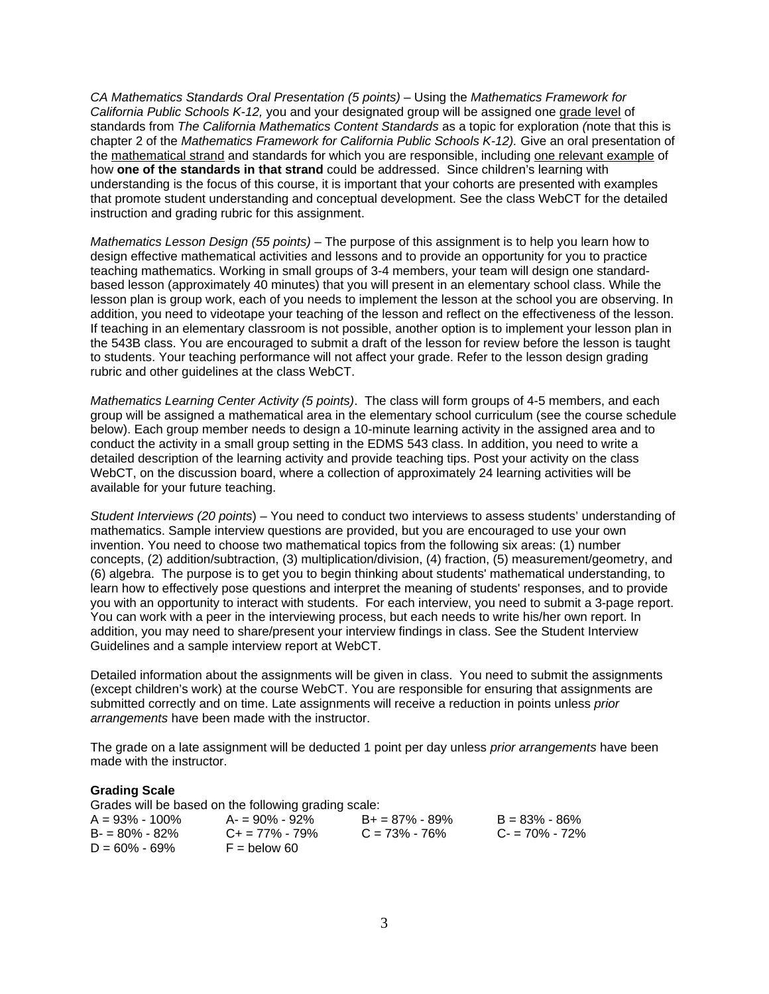*CA Mathematics Standards Oral Presentation (5 points)* – Using the *Mathematics Framework for California Public Schools K-12,* you and your designated group will be assigned one grade level of standards from *The California Mathematics Content Standards* as a topic for exploration *(*note that this is chapter 2 of the *Mathematics Framework for California Public Schools K-12).* Give an oral presentation of the mathematical strand and standards for which you are responsible, including one relevant example of how **one of the standards in that strand** could be addressed. Since children's learning with understanding is the focus of this course, it is important that your cohorts are presented with examples that promote student understanding and conceptual development. See the class WebCT for the detailed instruction and grading rubric for this assignment.

*Mathematics Lesson Design (55 points)* – The purpose of this assignment is to help you learn how to design effective mathematical activities and lessons and to provide an opportunity for you to practice teaching mathematics. Working in small groups of 3-4 members, your team will design one standardbased lesson (approximately 40 minutes) that you will present in an elementary school class. While the lesson plan is group work, each of you needs to implement the lesson at the school you are observing. In addition, you need to videotape your teaching of the lesson and reflect on the effectiveness of the lesson. If teaching in an elementary classroom is not possible, another option is to implement your lesson plan in the 543B class. You are encouraged to submit a draft of the lesson for review before the lesson is taught to students. Your teaching performance will not affect your grade. Refer to the lesson design grading rubric and other guidelines at the class WebCT.

*Mathematics Learning Center Activity (5 points)*. The class will form groups of 4-5 members, and each group will be assigned a mathematical area in the elementary school curriculum (see the course schedule below). Each group member needs to design a 10-minute learning activity in the assigned area and to conduct the activity in a small group setting in the EDMS 543 class. In addition, you need to write a detailed description of the learning activity and provide teaching tips. Post your activity on the class WebCT, on the discussion board, where a collection of approximately 24 learning activities will be available for your future teaching.

*Student Interviews (20 points*) – You need to conduct two interviews to assess students' understanding of mathematics. Sample interview questions are provided, but you are encouraged to use your own invention. You need to choose two mathematical topics from the following six areas: (1) number concepts, (2) addition/subtraction, (3) multiplication/division, (4) fraction, (5) measurement/geometry, and (6) algebra. The purpose is to get you to begin thinking about students' mathematical understanding, to learn how to effectively pose questions and interpret the meaning of students' responses, and to provide you with an opportunity to interact with students. For each interview, you need to submit a 3-page report. You can work with a peer in the interviewing process, but each needs to write his/her own report. In addition, you may need to share/present your interview findings in class. See the Student Interview Guidelines and a sample interview report at WebCT.

Detailed information about the assignments will be given in class. You need to submit the assignments (except children's work) at the course WebCT. You are responsible for ensuring that assignments are submitted correctly and on time. Late assignments will receive a reduction in points unless *prior arrangements* have been made with the instructor.

The grade on a late assignment will be deducted 1 point per day unless *prior arrangements* have been made with the instructor.

### **Grading Scale**

|                    | Grades will be based on the following grading scale: |                    |                   |
|--------------------|------------------------------------------------------|--------------------|-------------------|
| $A = 93\% - 100\%$ | A- = 90% - 92%                                       | $B+ = 87\% - 89\%$ | $B = 83\% - 86\%$ |
| $B = 80\% - 82\%$  | $C_{\pm} = 77\% - 79\%$                              | $C = 73\% - 76\%$  | $C = 70\% - 72\%$ |
| $D = 60\% - 69\%$  | $F =$ below 60                                       |                    |                   |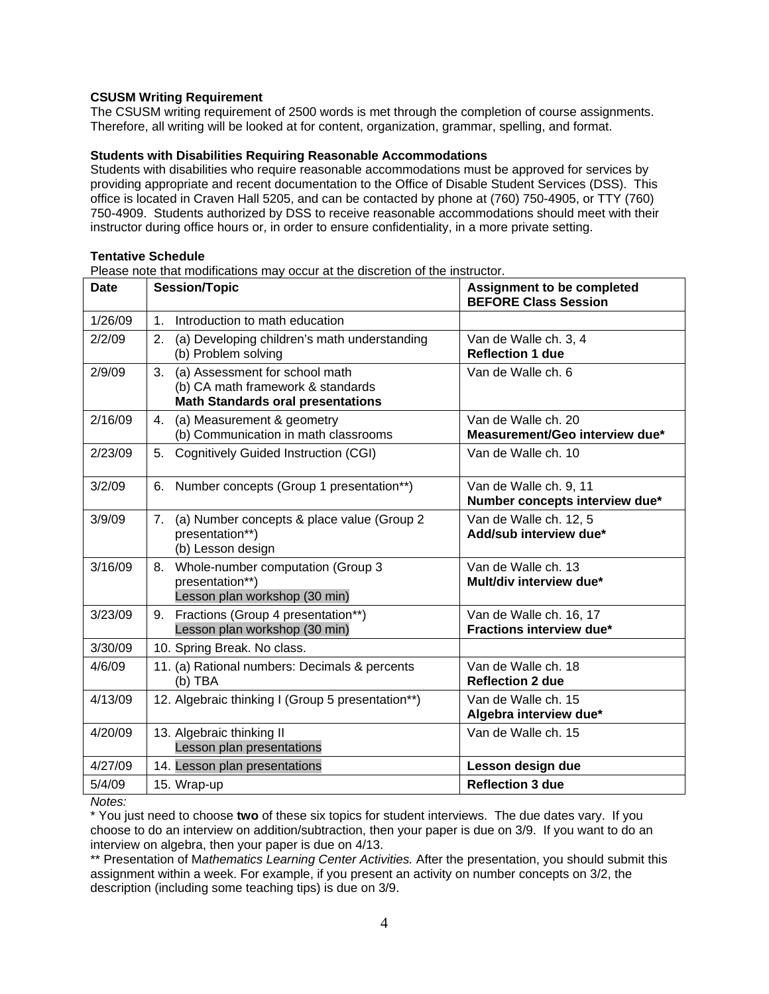### **CSUSM Writing Requirement**

The CSUSM writing requirement of 2500 words is met through the completion of course assignments. Therefore, all writing will be looked at for content, organization, grammar, spelling, and format.

### **Students with Disabilities Requiring Reasonable Accommodations**

Students with disabilities who require reasonable accommodations must be approved for services by providing appropriate and recent documentation to the Office of Disable Student Services (DSS). This office is located in Craven Hall 5205, and can be contacted by phone at (760) 750-4905, or TTY (760) 750-4909. Students authorized by DSS to receive reasonable accommodations should meet with their instructor during office hours or, in order to ensure confidentiality, in a more private setting.

### **Tentative Schedule**

Please note that modifications may occur at the discretion of the instructor.

| <b>Date</b> | <b>Session/Topic</b>                                                                                                  | <b>Assignment to be completed</b><br><b>BEFORE Class Session</b> |
|-------------|-----------------------------------------------------------------------------------------------------------------------|------------------------------------------------------------------|
| 1/26/09     | Introduction to math education<br>$\mathbf 1$ .                                                                       |                                                                  |
| 2/2/09      | 2.<br>(a) Developing children's math understanding<br>(b) Problem solving                                             | Van de Walle ch. 3, 4<br><b>Reflection 1 due</b>                 |
| 2/9/09      | 3.<br>(a) Assessment for school math<br>(b) CA math framework & standards<br><b>Math Standards oral presentations</b> | Van de Walle ch. 6                                               |
| 2/16/09     | (a) Measurement & geometry<br>4.<br>(b) Communication in math classrooms                                              | Van de Walle ch. 20<br>Measurement/Geo interview due*            |
| 2/23/09     | 5.<br>Cognitively Guided Instruction (CGI)                                                                            | Van de Walle ch. 10                                              |
| 3/2/09      | Number concepts (Group 1 presentation**)<br>6.                                                                        | Van de Walle ch. 9, 11<br>Number concepts interview due*         |
| 3/9/09      | 7.<br>(a) Number concepts & place value (Group 2<br>presentation**)<br>(b) Lesson design                              | Van de Walle ch. 12, 5<br>Add/sub interview due*                 |
| 3/16/09     | 8. Whole-number computation (Group 3<br>presentation**)<br>Lesson plan workshop (30 min)                              | Van de Walle ch. 13<br>Mult/div interview due*                   |
| 3/23/09     | 9. Fractions (Group 4 presentation**)<br>Lesson plan workshop (30 min)                                                | Van de Walle ch. 16, 17<br>Fractions interview due*              |
| 3/30/09     | 10. Spring Break. No class.                                                                                           |                                                                  |
| 4/6/09      | 11. (a) Rational numbers: Decimals & percents<br>$(b)$ TBA                                                            | Van de Walle ch. 18<br><b>Reflection 2 due</b>                   |
| 4/13/09     | 12. Algebraic thinking I (Group 5 presentation**)                                                                     | Van de Walle ch. 15<br>Algebra interview due*                    |
| 4/20/09     | 13. Algebraic thinking II<br>Lesson plan presentations                                                                | Van de Walle ch. 15                                              |
| 4/27/09     | 14. Lesson plan presentations                                                                                         | Lesson design due                                                |
| 5/4/09      | 15. Wrap-up                                                                                                           | <b>Reflection 3 due</b>                                          |

*Notes:* 

\* You just need to choose **two** of these six topics for student interviews. The due dates vary. If you choose to do an interview on addition/subtraction, then your paper is due on 3/9. If you want to do an interview on algebra, then your paper is due on 4/13.

\*\* Presentation of M*athematics Learning Center Activities.* After the presentation, you should submit this assignment within a week. For example, if you present an activity on number concepts on 3/2, the description (including some teaching tips) is due on 3/9.